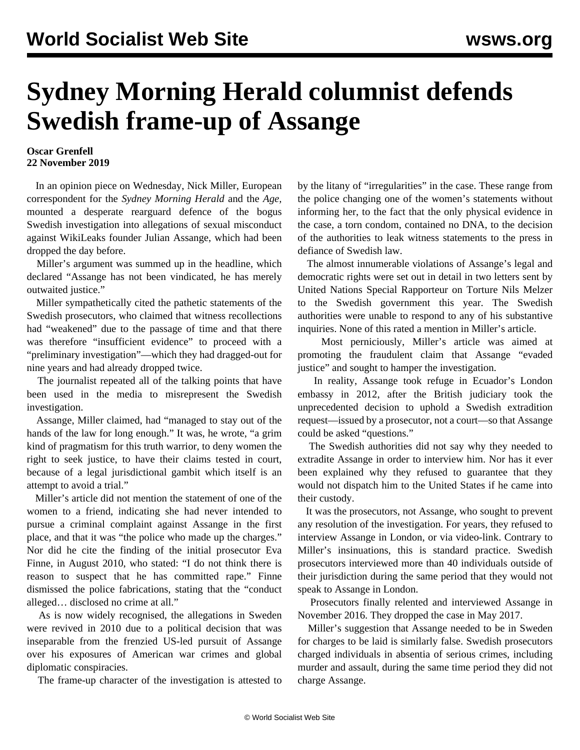## **Sydney Morning Herald columnist defends Swedish frame-up of Assange**

## **Oscar Grenfell 22 November 2019**

 In an opinion piece on Wednesday, Nick Miller, European correspondent for the *Sydney Morning Herald* and the *Age,* mounted a desperate rearguard defence of the bogus Swedish investigation into allegations of sexual misconduct against WikiLeaks founder Julian Assange, which had been dropped the day before.

 Miller's argument was summed up in the headline, which declared "Assange has not been vindicated, he has merely outwaited justice."

 Miller sympathetically cited the pathetic statements of the Swedish prosecutors, who claimed that witness recollections had "weakened" due to the passage of time and that there was therefore "insufficient evidence" to proceed with a "preliminary investigation"—which they had dragged-out for nine years and had already dropped twice.

 The journalist repeated all of the talking points that have been used in the media to misrepresent the Swedish investigation.

 Assange, Miller claimed, had "managed to stay out of the hands of the law for long enough." It was, he wrote, "a grim kind of pragmatism for this truth warrior, to deny women the right to seek justice, to have their claims tested in court, because of a legal jurisdictional gambit which itself is an attempt to avoid a trial."

 Miller's article did not mention the statement of one of the women to a friend, indicating she had never intended to pursue a criminal complaint against Assange in the first place, and that it was "the police who made up the charges." Nor did he cite the finding of the initial prosecutor Eva Finne, in August 2010, who stated: "I do not think there is reason to suspect that he has committed rape." Finne dismissed the police fabrications, stating that the "conduct alleged… disclosed no crime at all."

 As is now widely recognised, the allegations in Sweden were revived in 2010 due to a political decision that was inseparable from the frenzied US-led pursuit of Assange over his exposures of American war crimes and global diplomatic conspiracies.

The frame-up character of the investigation is attested to

by the litany of "irregularities" in the case. These range from the police changing one of the women's statements without informing her, to the fact that the only physical evidence in the case, a torn condom, contained no DNA, to the decision of the authorities to leak witness statements to the press in defiance of Swedish law.

 The almost innumerable violations of Assange's legal and democratic rights were set out in detail in two letters sent by United Nations Special Rapporteur on Torture Nils Melzer to the Swedish government this year. The Swedish authorities were unable to respond to any of his substantive inquiries. None of this rated a mention in Miller's article.

 Most perniciously, Miller's article was aimed at promoting the fraudulent claim that Assange "evaded justice" and sought to hamper the investigation.

 In reality, Assange took refuge in Ecuador's London embassy in 2012, after the British judiciary took the unprecedented decision to uphold a Swedish extradition request—issued by a prosecutor, not a court—so that Assange could be asked "questions."

 The Swedish authorities did not say why they needed to extradite Assange in order to interview him. Nor has it ever been explained why they refused to guarantee that they would not dispatch him to the United States if he came into their custody.

 It was the prosecutors, not Assange, who sought to prevent any resolution of the investigation. For years, they refused to interview Assange in London, or via video-link. Contrary to Miller's insinuations, this is standard practice. Swedish prosecutors interviewed more than 40 individuals outside of their jurisdiction during the same period that they would not speak to Assange in London.

 Prosecutors finally relented and interviewed Assange in November 2016. They dropped the case in May 2017.

 Miller's suggestion that Assange needed to be in Sweden for charges to be laid is similarly false. Swedish prosecutors charged individuals in absentia of serious crimes, including murder and assault, during the same time period they did not charge Assange.